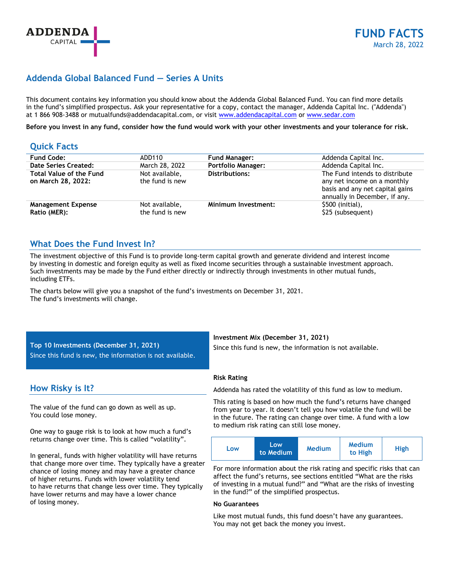# **Addenda Global Balanced Fund — Series A Units**

This document contains key information you should know about the Addenda Global Balanced Fund. You can find more details in the fund's simplified prospectus. Ask your representative for a copy, contact the manager, Addenda Capital Inc. ("Addenda") at 1 866 908-3488 or mutualfunds@addendacapital.com, or visit www.addendacapital.com or www.sedar.com

**Before you invest in any fund, consider how the fund would work with your other investments and your tolerance for risk.** 

### **Quick Facts**

| <b>Fund Code:</b>                                    | ADD110                            | <b>Fund Manager:</b>      | Addenda Capital Inc.                                                                                                              |
|------------------------------------------------------|-----------------------------------|---------------------------|-----------------------------------------------------------------------------------------------------------------------------------|
| Date Series Created:                                 | March 28, 2022                    | <b>Portfolio Manager:</b> | Addenda Capital Inc.                                                                                                              |
| <b>Total Value of the Fund</b><br>on March 28, 2022: | Not available,<br>the fund is new | <b>Distributions:</b>     | The Fund intends to distribute<br>any net income on a monthly<br>basis and any net capital gains<br>annually in December, if any. |
| <b>Management Expense</b>                            | Not available,                    | Minimum Investment:       | \$500 (initial),                                                                                                                  |
| Ratio (MER):                                         | the fund is new                   |                           | \$25 (subsequent)                                                                                                                 |

### **What Does the Fund Invest In?**

The investment objective of this Fund is to provide long-term capital growth and generate dividend and interest income by investing in domestic and foreign equity as well as fixed income securities through a sustainable investment approach. Such investments may be made by the Fund either directly or indirectly through investments in other mutual funds, including ETFs.

The charts below will give you a snapshot of the fund's investments on December 31, 2021. The fund's investments will change.

**Top 10 Investments (December 31, 2021)**  Since this fund is new, the information is not available.

### **How Risky is It?**

The value of the fund can go down as well as up. You could lose money.

One way to gauge risk is to look at how much a fund's returns change over time. This is called "volatility".

In general, funds with higher volatility will have returns that change more over time. They typically have a greater chance of losing money and may have a greater chance of higher returns. Funds with lower volatility tend to have returns that change less over time. They typically have lower returns and may have a lower chance of losing money.

**Investment Mix (December 31, 2021)** 

Since this fund is new, the information is not available.

### **Risk Rating**

Addenda has rated the volatility of this fund as low to medium.

This rating is based on how much the fund's returns have changed from year to year. It doesn't tell you how volatile the fund will be in the future. The rating can change over time. A fund with a low to medium risk rating can still lose money.

| Low<br>LOW<br>to Medium | <b>Medium</b><br><b>Medium</b><br>to High | High |
|-------------------------|-------------------------------------------|------|
|-------------------------|-------------------------------------------|------|

For more information about the risk rating and specific risks that can affect the fund's returns, see sections entitled "What are the risks of investing in a mutual fund?" and "What are the risks of investing in the fund?" of the simplified prospectus.

### **No Guarantees**

Like most mutual funds, this fund doesn't have any guarantees. You may not get back the money you invest.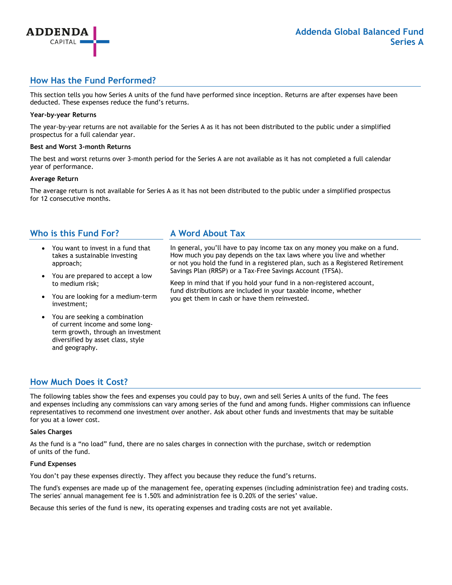## **How Has the Fund Performed?**

This section tells you how Series A units of the fund have performed since inception. Returns are after expenses have been deducted. These expenses reduce the fund's returns.

### **Year-by-year Returns**

**ADDENDA** CAPITAL

The year-by-year returns are not available for the Series A as it has not been distributed to the public under a simplified prospectus for a full calendar year.

#### **Best and Worst 3-month Returns**

The best and worst returns over 3-month period for the Series A are not available as it has not completed a full calendar year of performance.

#### **Average Return**

The average return is not available for Series A as it has not been distributed to the public under a simplified prospectus for 12 consecutive months.

### **Who is this Fund For?**

- You want to invest in a fund that takes a sustainable investing approach;
- You are prepared to accept a low to medium risk;
- You are looking for a medium-term investment;
- You are seeking a combination of current income and some longterm growth, through an investment diversified by asset class, style and geography.

### **A Word About Tax**

In general, you'll have to pay income tax on any money you make on a fund. How much you pay depends on the tax laws where you live and whether or not you hold the fund in a registered plan, such as a Registered Retirement Savings Plan (RRSP) or a Tax-Free Savings Account (TFSA).

Keep in mind that if you hold your fund in a non-registered account, fund distributions are included in your taxable income, whether you get them in cash or have them reinvested.

### **How Much Does it Cost?**

The following tables show the fees and expenses you could pay to buy, own and sell Series A units of the fund. The fees and expenses including any commissions can vary among series of the fund and among funds. Higher commissions can influence representatives to recommend one investment over another. Ask about other funds and investments that may be suitable for you at a lower cost.

### **Sales Charges**

As the fund is a "no load" fund, there are no sales charges in connection with the purchase, switch or redemption of units of the fund.

### **Fund Expenses**

You don't pay these expenses directly. They affect you because they reduce the fund's returns.

The fund's expenses are made up of the management fee, operating expenses (including administration fee) and trading costs. The series' annual management fee is 1.50% and administration fee is 0.20% of the series' value.

Because this series of the fund is new, its operating expenses and trading costs are not yet available.